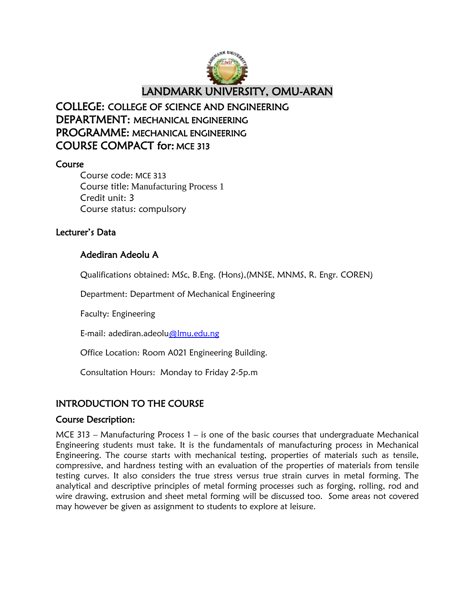

# COLLEGE: COLLEGE OF SCIENCE AND ENGINEERING DEPARTMENT: MECHANICAL ENGINEERING PROGRAMME: MECHANICAL ENGINEERING COURSE COMPACT for: MCE 313

## Course

Course code: MCE 313 Course title: Manufacturing Process 1 Credit unit: 3 Course status: compulsory

## Lecturer"s Data

## Adediran Adeolu A

Qualifications obtained: MSc, B.Eng. (Hons),(MNSE, MNMS, R. Engr. COREN)

Department: Department of Mechanical Engineering

Faculty: Engineering

E-mail: adediran.adeolu@lmu.edu.ng

Office Location: Room A021 Engineering Building.

Consultation Hours: Monday to Friday 2-5p.m

## INTRODUCTION TO THE COURSE

### Course Description:

MCE 313 – Manufacturing Process  $1 -$  is one of the basic courses that undergraduate Mechanical Engineering students must take. It is the fundamentals of manufacturing process in Mechanical Engineering. The course starts with mechanical testing, properties of materials such as tensile, compressive, and hardness testing with an evaluation of the properties of materials from tensile testing curves. It also considers the true stress versus true strain curves in metal forming. The analytical and descriptive principles of metal forming processes such as forging, rolling, rod and wire drawing, extrusion and sheet metal forming will be discussed too. Some areas not covered may however be given as assignment to students to explore at leisure.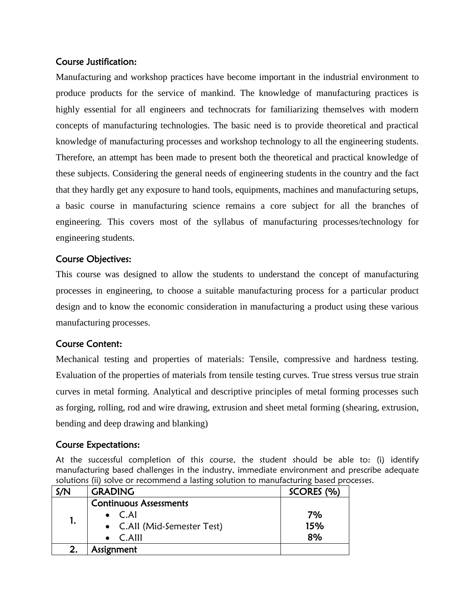## Course Justification:

Manufacturing and workshop practices have become important in the industrial environment to produce products for the service of mankind. The knowledge of manufacturing practices is highly essential for all engineers and technocrats for familiarizing themselves with modern concepts of manufacturing technologies. The basic need is to provide theoretical and practical knowledge of manufacturing processes and workshop technology to all the engineering students. Therefore, an attempt has been made to present both the theoretical and practical knowledge of these subjects. Considering the general needs of engineering students in the country and the fact that they hardly get any exposure to hand tools, equipments, machines and manufacturing setups, a basic course in manufacturing science remains a core subject for all the branches of engineering. This covers most of the syllabus of manufacturing processes/technology for engineering students.

## Course Objectives:

This course was designed to allow the students to understand the concept of manufacturing processes in engineering, to choose a suitable manufacturing process for a particular product design and to know the economic consideration in manufacturing a product using these various manufacturing processes.

## Course Content:

Mechanical testing and properties of materials: Tensile, compressive and hardness testing. Evaluation of the properties of materials from tensile testing curves. True stress versus true strain curves in metal forming. Analytical and descriptive principles of metal forming processes such as forging, rolling, rod and wire drawing, extrusion and sheet metal forming (shearing, extrusion, bending and deep drawing and blanking)

### Course Expectations:

At the successful completion of this course, the student should be able to: (i) identify manufacturing based challenges in the industry, immediate environment and prescribe adequate solutions (ii) solve or recommend a lasting solution to manufacturing based processes.

| S/N | <b>GRADING</b>                | SCORES (%) |
|-----|-------------------------------|------------|
|     | <b>Continuous Assessments</b> |            |
|     | $\bullet$ C.Al                | 7%         |
|     | • C.All (Mid-Semester Test)   | 15%        |
|     | $\bullet$ C.Alll              | 8%         |
|     | Assignment                    |            |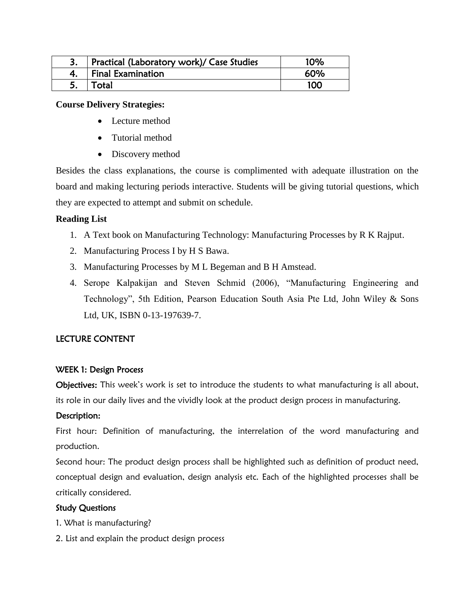| Practical (Laboratory work)/ Case Studies | 10% |
|-------------------------------------------|-----|
| <b>Final Examination</b>                  | 60% |
| Total                                     | 100 |

#### **Course Delivery Strategies:**

- Lecture method
- Tutorial method
- Discovery method

Besides the class explanations, the course is complimented with adequate illustration on the board and making lecturing periods interactive. Students will be giving tutorial questions, which they are expected to attempt and submit on schedule.

#### **Reading List**

- 1. A Text book on Manufacturing Technology: Manufacturing Processes by R K Rajput.
- 2. Manufacturing Process I by H S Bawa.
- 3. Manufacturing Processes by M L Begeman and B H Amstead.
- 4. Serope Kalpakijan and Steven Schmid (2006), "Manufacturing Engineering and Technology", 5th Edition, Pearson Education South Asia Pte Ltd, John Wiley & Sons Ltd, UK, ISBN 0-13-197639-7.

#### LECTURE CONTENT

#### WEEK 1: Design Process

Objectives: This week's work is set to introduce the students to what manufacturing is all about, its role in our daily lives and the vividly look at the product design process in manufacturing.

### Description:

First hour: Definition of manufacturing, the interrelation of the word manufacturing and production.

Second hour: The product design process shall be highlighted such as definition of product need, conceptual design and evaluation, design analysis etc. Each of the highlighted processes shall be critically considered.

#### Study Questions

- 1. What is manufacturing?
- 2. List and explain the product design process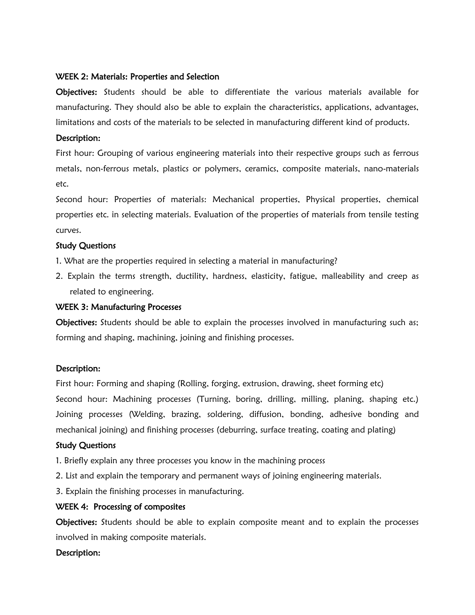#### WEEK 2: Materials: Properties and Selection

Objectives: Students should be able to differentiate the various materials available for manufacturing. They should also be able to explain the characteristics, applications, advantages, limitations and costs of the materials to be selected in manufacturing different kind of products.

#### Description:

First hour: Grouping of various engineering materials into their respective groups such as ferrous metals, non-ferrous metals, plastics or polymers, ceramics, composite materials, nano-materials etc.

Second hour: Properties of materials: Mechanical properties, Physical properties, chemical properties etc. in selecting materials. Evaluation of the properties of materials from tensile testing curves.

#### Study Questions

- 1. What are the properties required in selecting a material in manufacturing?
- 2. Explain the terms strength, ductility, hardness, elasticity, fatigue, malleability and creep as related to engineering.

#### WEEK 3: Manufacturing Processes

Objectives: Students should be able to explain the processes involved in manufacturing such as; forming and shaping, machining, joining and finishing processes.

#### Description:

First hour: Forming and shaping (Rolling, forging, extrusion, drawing, sheet forming etc) Second hour: Machining processes (Turning, boring, drilling, milling, planing, shaping etc.) Joining processes (Welding, brazing, soldering, diffusion, bonding, adhesive bonding and mechanical joining) and finishing processes (deburring, surface treating, coating and plating)

#### Study Questions

- 1. Briefly explain any three processes you know in the machining process
- 2. List and explain the temporary and permanent ways of joining engineering materials.
- 3. Explain the finishing processes in manufacturing.

#### WEEK 4: Processing of composites

**Objectives:** Students should be able to explain composite meant and to explain the processes involved in making composite materials.

#### Description: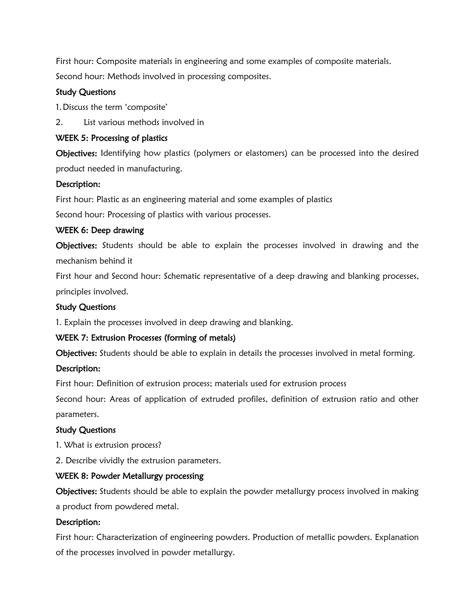First hour: Composite materials in engineering and some examples of composite materials. Second hour: Methods involved in processing composites.

#### Study Questions

1.Discuss the term "composite"

2. List various methods involved in

#### WEEK 5: Processing of plastics

Objectives: Identifying how plastics (polymers or elastomers) can be processed into the desired product needed in manufacturing.

### Description:

First hour: Plastic as an engineering material and some examples of plastics

Second hour: Processing of plastics with various processes.

#### WEEK 6: Deep drawing

Objectives: Students should be able to explain the processes involved in drawing and the mechanism behind it

First hour and Second hour: Schematic representative of a deep drawing and blanking processes, principles involved.

#### Study Questions

1. Explain the processes involved in deep drawing and blanking.

### WEEK 7: Extrusion Processes (forming of metals)

Objectives: Students should be able to explain in details the processes involved in metal forming.

### Description:

First hour: Definition of extrusion process; materials used for extrusion process

Second hour: Areas of application of extruded profiles, definition of extrusion ratio and other parameters.

### Study Questions

1. What is extrusion process?

2. Describe vividly the extrusion parameters.

### WEEK 8: Powder Metallurgy processing

Objectives: Students should be able to explain the powder metallurgy process involved in making a product from powdered metal.

#### Description:

First hour: Characterization of engineering powders. Production of metallic powders. Explanation of the processes involved in powder metallurgy.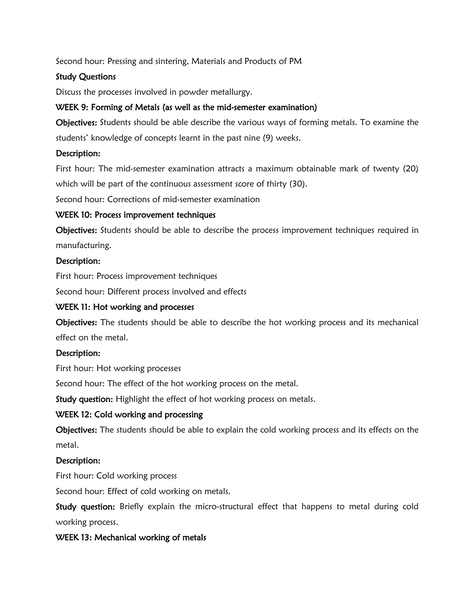Second hour: Pressing and sintering, Materials and Products of PM

### Study Questions

Discuss the processes involved in powder metallurgy.

## WEEK 9: Forming of Metals (as well as the mid-semester examination)

Objectives: Students should be able describe the various ways of forming metals. To examine the students" knowledge of concepts learnt in the past nine (9) weeks.

### Description:

First hour: The mid-semester examination attracts a maximum obtainable mark of twenty (20) which will be part of the continuous assessment score of thirty (30).

Second hour: Corrections of mid-semester examination

## WEEK 10: Process improvement techniques

Objectives: Students should be able to describe the process improvement techniques required in manufacturing.

## Description:

First hour: Process improvement techniques

Second hour: Different process involved and effects

## WEEK 11: Hot working and processes

Objectives: The students should be able to describe the hot working process and its mechanical effect on the metal.

### Description:

First hour: Hot working processes

Second hour: The effect of the hot working process on the metal.

Study question: Highlight the effect of hot working process on metals.

## WEEK 12: Cold working and processing

Objectives: The students should be able to explain the cold working process and its effects on the metal.

### Description:

First hour: Cold working process

Second hour: Effect of cold working on metals.

Study question: Briefly explain the micro-structural effect that happens to metal during cold working process.

## WEEK 13: Mechanical working of metals